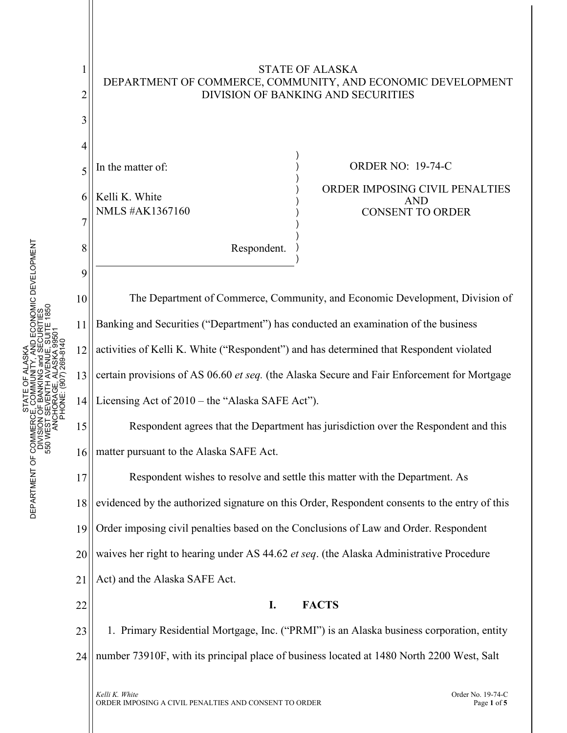

STATE OF ALASKA DEPARTMENT OF COMMERCE, COMMUNITY, AND ECONOMIC DEVELOPMENT

1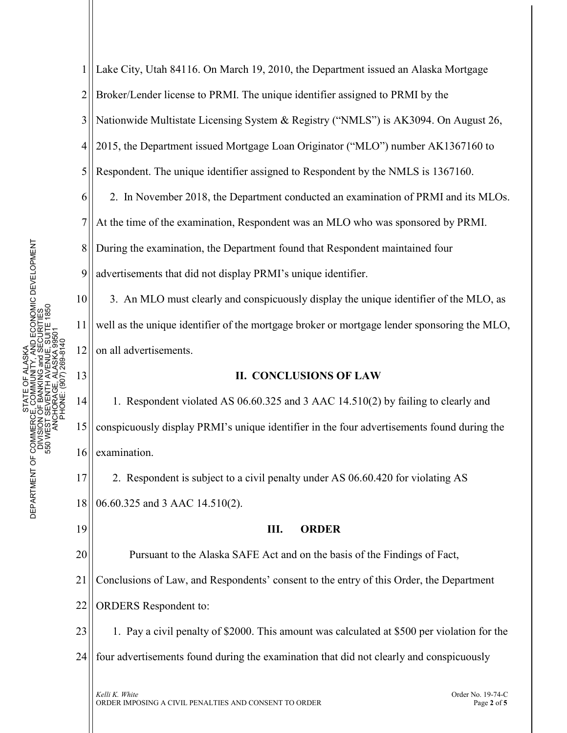1 2 3 4 5 6 7 8 9 10 11 12 13 Lake City, Utah 84116. On March 19, 2010, the Department issued an Alaska Mortgage Broker/Lender license to PRMI. The unique identifier assigned to PRMI by the Nationwide Multistate Licensing System & Registry ("NMLS") is AK3094. On August 26, 2015, the Department issued Mortgage Loan Originator ("MLO") number AK1367160 to Respondent. The unique identifier assigned to Respondent by the NMLS is 1367160. 2. In November 2018, the Department conducted an examination of PRMI and its MLOs. At the time of the examination, Respondent was an MLO who was sponsored by PRMI. During the examination, the Department found that Respondent maintained four advertisements that did not display PRMI's unique identifier. 3. An MLO must clearly and conspicuously display the unique identifier of the MLO, as well as the unique identifier of the mortgage broker or mortgage lender sponsoring the MLO, on all advertisements. **II. CONCLUSIONS OF LAW**

14 15 16 1. Respondent violated AS 06.60.325 and 3 AAC 14.510(2) by failing to clearly and conspicuously display PRMI's unique identifier in the four advertisements found during the examination.

17 18 2. Respondent is subject to a civil penalty under AS 06.60.420 for violating AS 06.60.325 and 3 AAC 14.510(2).

19

## **III. ORDER**

20 Pursuant to the Alaska SAFE Act and on the basis of the Findings of Fact,

21 Conclusions of Law, and Respondents' consent to the entry of this Order, the Department

22 ORDERS Respondent to:

23 1. Pay a civil penalty of \$2000. This amount was calculated at \$500 per violation for the

24 four advertisements found during the examination that did not clearly and conspicuously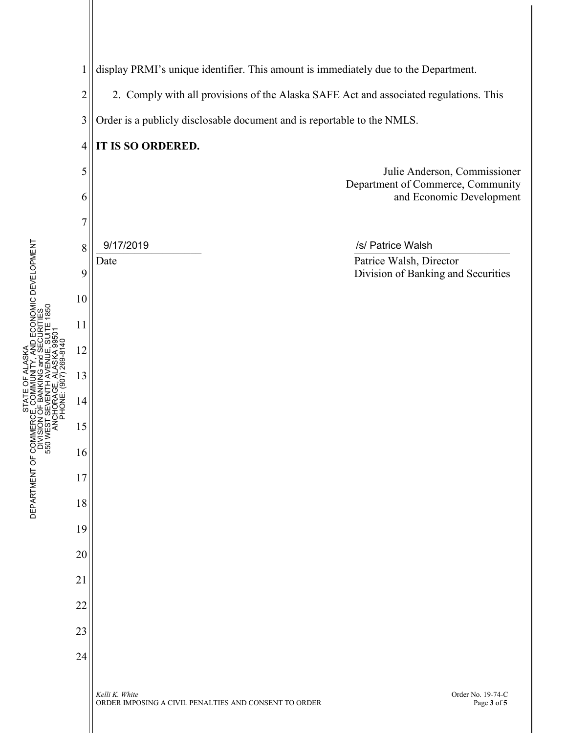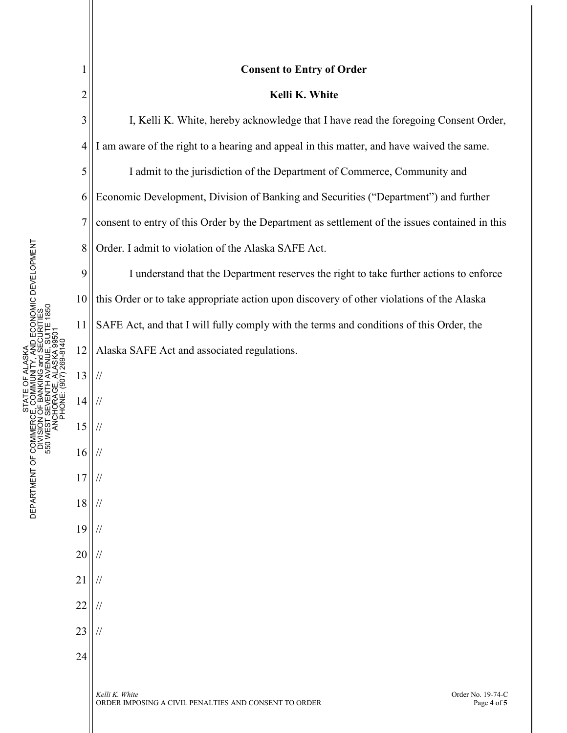| 1              | <b>Consent to Entry of Order</b>                                                                            |
|----------------|-------------------------------------------------------------------------------------------------------------|
| $\overline{c}$ | Kelli K. White                                                                                              |
| 3              | I, Kelli K. White, hereby acknowledge that I have read the foregoing Consent Order,                         |
| $\overline{4}$ | I am aware of the right to a hearing and appeal in this matter, and have waived the same.                   |
| 5              | I admit to the jurisdiction of the Department of Commerce, Community and                                    |
| 6              | Economic Development, Division of Banking and Securities ("Department") and further                         |
| 7              | consent to entry of this Order by the Department as settlement of the issues contained in this              |
| 8              | Order. I admit to violation of the Alaska SAFE Act.                                                         |
| 9              | I understand that the Department reserves the right to take further actions to enforce                      |
| 10             | this Order or to take appropriate action upon discovery of other violations of the Alaska                   |
| 11             | SAFE Act, and that I will fully comply with the terms and conditions of this Order, the                     |
| 12             | Alaska SAFE Act and associated regulations.                                                                 |
| 13             | $\frac{1}{2}$                                                                                               |
| 14             | $\frac{1}{2}$                                                                                               |
| 15             | $\frac{1}{2}$                                                                                               |
| 16             |                                                                                                             |
| 17             |                                                                                                             |
| 18             |                                                                                                             |
| 19             |                                                                                                             |
| 20             |                                                                                                             |
| 21             |                                                                                                             |
| 22             |                                                                                                             |
| 23             |                                                                                                             |
| 24             |                                                                                                             |
|                | Kelli K. White<br>Order No. 19-74-C<br>ORDER IMPOSING A CIVIL PENALTIES AND CONSENT TO ORDER<br>Page 4 of 5 |

STATE OF ANAMEROE, COMMUNITY, AND ECONOMIC DEVELOPMENT<br>DEPARTMENT OF COMMERCE, COMMUNITY, AND ECONOMIC DEVELOPMENT<br>DIVISION OF BANKING and SECURITIES<br>550 WEST SEVENTH AVENUE, SUITE 1850<br>ANCHORAGE, ALASKA 99501 DEPARTMENT OF COMMERCE, COMMUNITY, AND ECONOMIC DEVELOPMENT 550 WEST SEVENTH AVENUE, SUITE 1850 DIVISION OF BANKING and SECURITIES ANCHORAGE, ALASKA 99501 PHONE: (907) 269-8140 STATE OF ALASKA